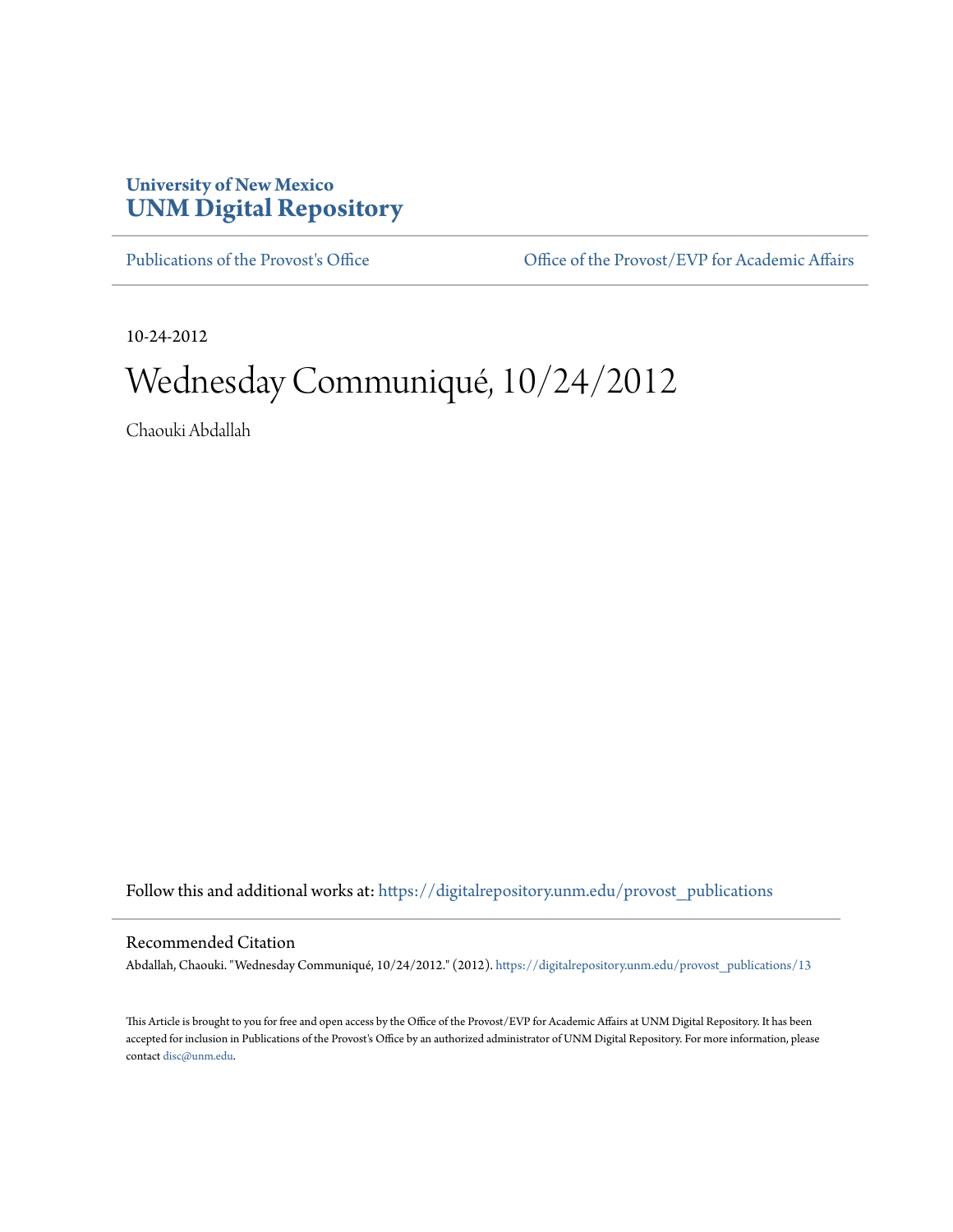## **University of New Mexico [UNM Digital Repository](https://digitalrepository.unm.edu?utm_source=digitalrepository.unm.edu%2Fprovost_publications%2F13&utm_medium=PDF&utm_campaign=PDFCoverPages)**

[Publications of the Provost's Office](https://digitalrepository.unm.edu/provost_publications?utm_source=digitalrepository.unm.edu%2Fprovost_publications%2F13&utm_medium=PDF&utm_campaign=PDFCoverPages) Office [Office of the Provost/EVP for Academic Affairs](https://digitalrepository.unm.edu/ofc_provost?utm_source=digitalrepository.unm.edu%2Fprovost_publications%2F13&utm_medium=PDF&utm_campaign=PDFCoverPages)

10-24-2012

# Wednesday Communiqué, 10/24/2012

Chaouki Abdallah

Follow this and additional works at: [https://digitalrepository.unm.edu/provost\\_publications](https://digitalrepository.unm.edu/provost_publications?utm_source=digitalrepository.unm.edu%2Fprovost_publications%2F13&utm_medium=PDF&utm_campaign=PDFCoverPages)

## Recommended Citation

Abdallah, Chaouki. "Wednesday Communiqué, 10/24/2012." (2012). [https://digitalrepository.unm.edu/provost\\_publications/13](https://digitalrepository.unm.edu/provost_publications/13?utm_source=digitalrepository.unm.edu%2Fprovost_publications%2F13&utm_medium=PDF&utm_campaign=PDFCoverPages)

This Article is brought to you for free and open access by the Office of the Provost/EVP for Academic Affairs at UNM Digital Repository. It has been accepted for inclusion in Publications of the Provost's Office by an authorized administrator of UNM Digital Repository. For more information, please contact [disc@unm.edu.](mailto:disc@unm.edu)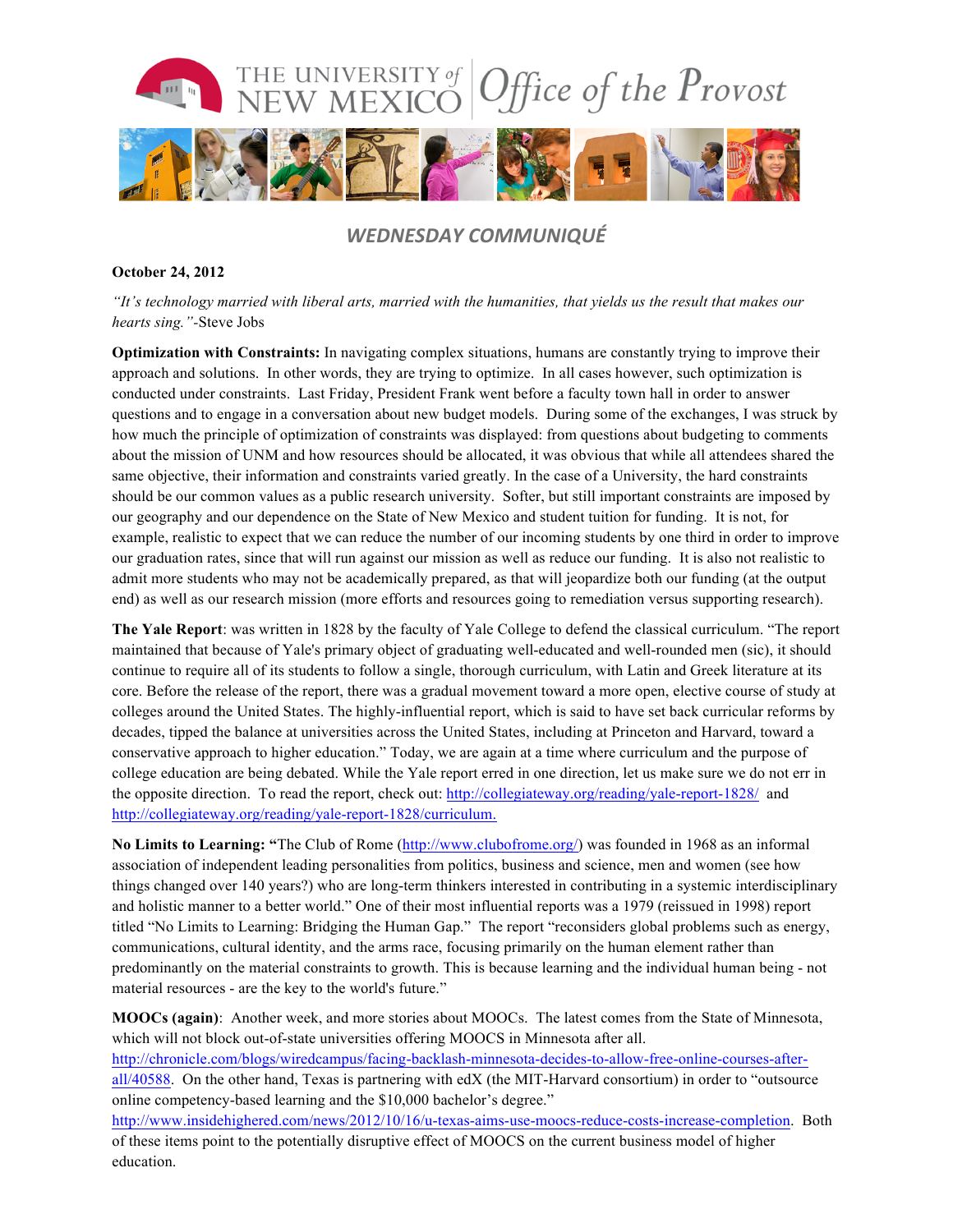

## *WEDNESDAY COMMUNIQUÉ*

### **October 24, 2012**

*"It's technology married with liberal arts, married with the humanities, that yields us the result that makes our hearts sing."-*Steve Jobs

**Optimization with Constraints:** In navigating complex situations, humans are constantly trying to improve their approach and solutions. In other words, they are trying to optimize. In all cases however, such optimization is conducted under constraints. Last Friday, President Frank went before a faculty town hall in order to answer questions and to engage in a conversation about new budget models. During some of the exchanges, I was struck by how much the principle of optimization of constraints was displayed: from questions about budgeting to comments about the mission of UNM and how resources should be allocated, it was obvious that while all attendees shared the same objective, their information and constraints varied greatly. In the case of a University, the hard constraints should be our common values as a public research university. Softer, but still important constraints are imposed by our geography and our dependence on the State of New Mexico and student tuition for funding. It is not, for example, realistic to expect that we can reduce the number of our incoming students by one third in order to improve our graduation rates, since that will run against our mission as well as reduce our funding. It is also not realistic to admit more students who may not be academically prepared, as that will jeopardize both our funding (at the output end) as well as our research mission (more efforts and resources going to remediation versus supporting research).

**The Yale Report**: was written in 1828 by the faculty of Yale College to defend the classical curriculum. "The report maintained that because of Yale's primary object of graduating well-educated and well-rounded men (sic), it should continue to require all of its students to follow a single, thorough curriculum, with Latin and Greek literature at its core. Before the release of the report, there was a gradual movement toward a more open, elective course of study at colleges around the United States. The highly-influential report, which is said to have set back curricular reforms by decades, tipped the balance at universities across the United States, including at Princeton and Harvard, toward a conservative approach to higher education." Today, we are again at a time where curriculum and the purpose of college education are being debated. While the Yale report erred in one direction, let us make sure we do not err in the opposite direction. To read the report, check out: http://collegiateway.org/reading/yale-report-1828/ and http://collegiateway.org/reading/yale-report-1828/curriculum.

**No Limits to Learning: "**The Club of Rome (http://www.clubofrome.org/) was founded in 1968 as an informal association of independent leading personalities from politics, business and science, men and women (see how things changed over 140 years?) who are long-term thinkers interested in contributing in a systemic interdisciplinary and holistic manner to a better world." One of their most influential reports was a 1979 (reissued in 1998) report titled "No Limits to Learning: Bridging the Human Gap." The report "reconsiders global problems such as energy, communications, cultural identity, and the arms race, focusing primarily on the human element rather than predominantly on the material constraints to growth. This is because learning and the individual human being - not material resources - are the key to the world's future."

**MOOCs (again)**: Another week, and more stories about MOOCs. The latest comes from the State of Minnesota, which will not block out-of-state universities offering MOOCS in Minnesota after all.

http://chronicle.com/blogs/wiredcampus/facing-backlash-minnesota-decides-to-allow-free-online-courses-afterall/40588. On the other hand, Texas is partnering with edX (the MIT-Harvard consortium) in order to "outsource online competency-based learning and the \$10,000 bachelor's degree."

http://www.insidehighered.com/news/2012/10/16/u-texas-aims-use-moocs-reduce-costs-increase-completion. Both of these items point to the potentially disruptive effect of MOOCS on the current business model of higher education.